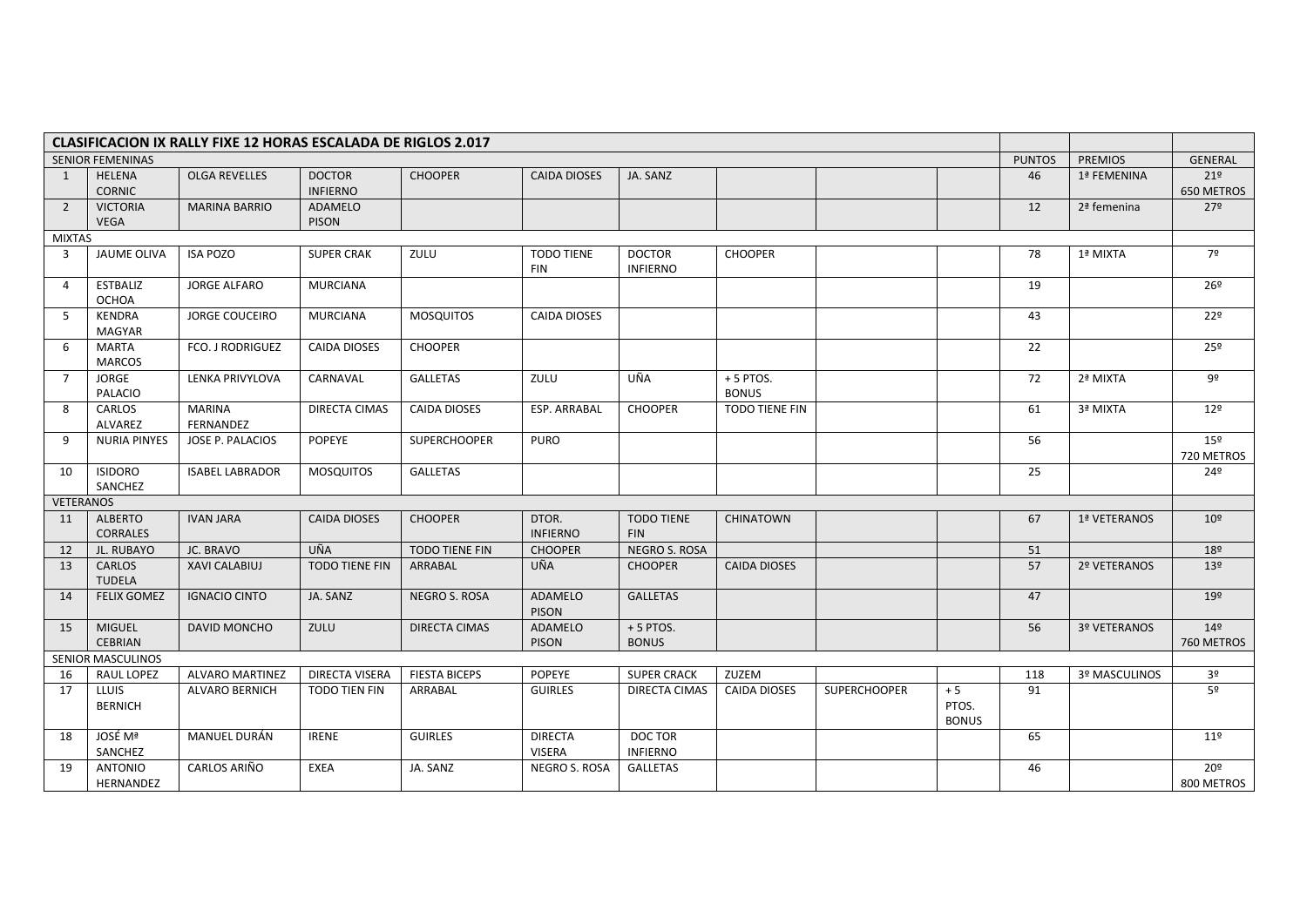| <b>CLASIFICACION IX RALLY FIXE 12 HORAS ESCALADA DE RIGLOS 2.017</b> |                                   |                                   |                                  |                       |                                 |                                  |                            |                     |                               |               |                |                               |
|----------------------------------------------------------------------|-----------------------------------|-----------------------------------|----------------------------------|-----------------------|---------------------------------|----------------------------------|----------------------------|---------------------|-------------------------------|---------------|----------------|-------------------------------|
| <b>SENIOR FEMENINAS</b>                                              |                                   |                                   |                                  |                       |                                 |                                  |                            |                     |                               | <b>PUNTOS</b> | <b>PREMIOS</b> | <b>GENERAL</b>                |
| 1                                                                    | HELENA<br><b>CORNIC</b>           | <b>OLGA REVELLES</b>              | <b>DOCTOR</b><br><b>INFIERNO</b> | <b>CHOOPER</b>        | <b>CAIDA DIOSES</b>             | JA. SANZ                         |                            |                     |                               | 46            | 1ª FEMENINA    | 21 <sup>°</sup><br>650 METROS |
| $\overline{2}$                                                       | <b>VICTORIA</b><br><b>VEGA</b>    | <b>MARINA BARRIO</b>              | ADAMELO<br>PISON                 |                       |                                 |                                  |                            |                     |                               | 12            | 2ª femenina    | 27 <sup>°</sup>               |
| <b>MIXTAS</b>                                                        |                                   |                                   |                                  |                       |                                 |                                  |                            |                     |                               |               |                |                               |
| $\overline{\mathbf{3}}$                                              | JAUME OLIVA                       | <b>ISA POZO</b>                   | <b>SUPER CRAK</b>                | ZULU                  | <b>TODO TIENE</b><br><b>FIN</b> | <b>DOCTOR</b><br><b>INFIERNO</b> | <b>CHOOPER</b>             |                     |                               | 78            | 1ª MIXTA       | 7º                            |
| 4                                                                    | <b>ESTBALIZ</b><br><b>OCHOA</b>   | <b>JORGE ALFARO</b>               | <b>MURCIANA</b>                  |                       |                                 |                                  |                            |                     |                               | 19            |                | 26º                           |
| 5                                                                    | KENDRA<br><b>MAGYAR</b>           | <b>JORGE COUCEIRO</b>             | <b>MURCIANA</b>                  | <b>MOSQUITOS</b>      | CAIDA DIOSES                    |                                  |                            |                     |                               | 43            |                | 22 <sup>°</sup>               |
| 6                                                                    | <b>MARTA</b><br><b>MARCOS</b>     | FCO. J RODRIGUEZ                  | <b>CAIDA DIOSES</b>              | <b>CHOOPER</b>        |                                 |                                  |                            |                     |                               | 22            |                | 25°                           |
| $\overline{7}$                                                       | <b>JORGE</b><br>PALACIO           | LENKA PRIVYLOVA                   | CARNAVAL                         | <b>GALLETAS</b>       | ZULU                            | UÑA                              | $+5$ PTOS.<br><b>BONUS</b> |                     |                               | 72            | 2ª MIXTA       | 9º                            |
| 8                                                                    | CARLOS<br>ALVAREZ                 | <b>MARINA</b><br><b>FERNANDEZ</b> | DIRECTA CIMAS                    | <b>CAIDA DIOSES</b>   | <b>ESP. ARRABAL</b>             | <b>CHOOPER</b>                   | TODO TIENE FIN             |                     |                               | 61            | 3ª MIXTA       | 12 <sup>°</sup>               |
| 9                                                                    | <b>NURIA PINYES</b>               | JOSE P. PALACIOS                  | POPEYE                           | <b>SUPERCHOOPER</b>   | <b>PURO</b>                     |                                  |                            |                     |                               | 56            |                | 15 <sup>°</sup><br>720 METROS |
| 10                                                                   | <b>ISIDORO</b><br>SANCHEZ         | <b>ISABEL LABRADOR</b>            | <b>MOSQUITOS</b>                 | <b>GALLETAS</b>       |                                 |                                  |                            |                     |                               | 25            |                | $24^{\circ}$                  |
|                                                                      | <b>VETERANOS</b>                  |                                   |                                  |                       |                                 |                                  |                            |                     |                               |               |                |                               |
| 11                                                                   | <b>ALBERTO</b><br><b>CORRALES</b> | <b>IVAN JARA</b>                  | <b>CAIDA DIOSES</b>              | <b>CHOOPER</b>        | DTOR.<br><b>INFIERNO</b>        | <b>TODO TIENE</b><br><b>FIN</b>  | <b>CHINATOWN</b>           |                     |                               | 67            | 1ª VETERANOS   | $10^{9}$                      |
| 12                                                                   | JL. RUBAYO                        | JC. BRAVO                         | UÑA                              | <b>TODO TIENE FIN</b> | <b>CHOOPER</b>                  | <b>NEGRO S. ROSA</b>             |                            |                     |                               | 51            |                | 18º                           |
| 13                                                                   | CARLOS<br><b>TUDELA</b>           | XAVI CALABIUJ                     | <b>TODO TIENE FIN</b>            | ARRABAL               | UÑA                             | <b>CHOOPER</b>                   | <b>CAIDA DIOSES</b>        |                     |                               | 57            | 2º VETERANOS   | 13 <sup>°</sup>               |
| 14                                                                   | <b>FELIX GOMEZ</b>                | <b>IGNACIO CINTO</b>              | JA. SANZ                         | NEGRO S. ROSA         | ADAMELO<br><b>PISON</b>         | <b>GALLETAS</b>                  |                            |                     |                               | 47            |                | 19 <sup>°</sup>               |
| 15                                                                   | <b>MIGUEL</b><br><b>CEBRIAN</b>   | DAVID MONCHO                      | ZULU                             | <b>DIRECTA CIMAS</b>  | ADAMELO<br>PISON                | $+5$ PTOS.<br><b>BONUS</b>       |                            |                     |                               | 56            | 3º VETERANOS   | 14 <sup>°</sup><br>760 METROS |
|                                                                      | <b>SENIOR MASCULINOS</b>          |                                   |                                  |                       |                                 |                                  |                            |                     |                               |               |                |                               |
| 16                                                                   | <b>RAUL LOPEZ</b>                 | <b>ALVARO MARTINEZ</b>            | <b>DIRECTA VISERA</b>            | <b>FIESTA BICEPS</b>  | POPEYE                          | <b>SUPER CRACK</b>               | ZUZEM                      |                     |                               | 118           | 3º MASCULINOS  | 3 <sup>o</sup>                |
| 17                                                                   | LLUIS<br><b>BERNICH</b>           | <b>ALVARO BERNICH</b>             | TODO TIEN FIN                    | ARRABAL               | <b>GUIRLES</b>                  | DIRECTA CIMAS                    | <b>CAIDA DIOSES</b>        | <b>SUPERCHOOPER</b> | $+5$<br>PTOS.<br><b>BONUS</b> | 91            |                | 5º                            |
| 18                                                                   | JOSÉ Mª<br>SANCHEZ                | MANUEL DURÁN                      | <b>IRENE</b>                     | <b>GUIRLES</b>        | <b>DIRECTA</b><br><b>VISERA</b> | DOC TOR<br><b>INFIERNO</b>       |                            |                     |                               | 65            |                | 11 <sup>°</sup>               |
| 19                                                                   | <b>ANTONIO</b><br>HERNANDEZ       | CARLOS ARIÑO                      | <b>EXEA</b>                      | JA. SANZ              | <b>NEGRO S. ROSA</b>            | <b>GALLETAS</b>                  |                            |                     |                               | 46            |                | 20º<br>800 METROS             |